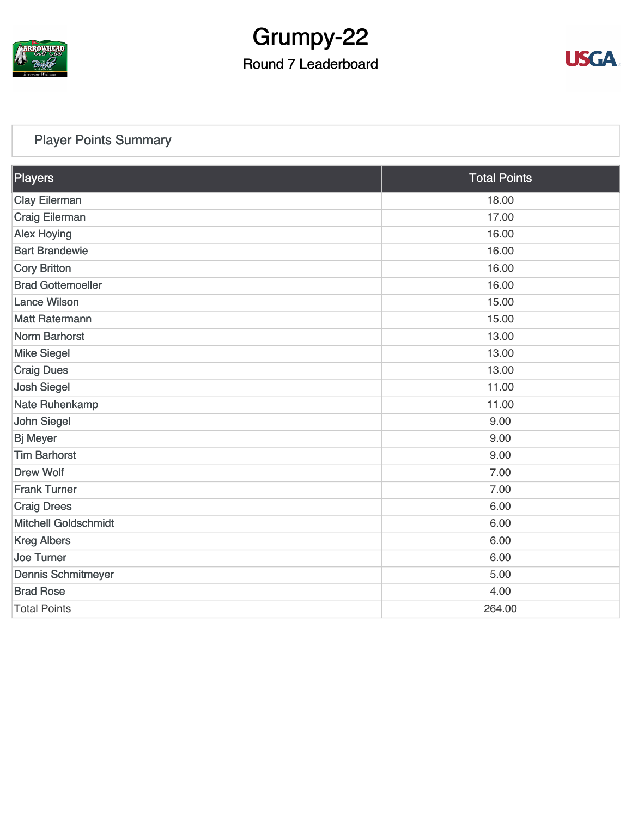

# Grumpy-22

## Round 7 Leaderboard



#### [Player Points Summary](https://static.golfgenius.com/v2tournaments/total_points?league_id=8123139340541895924&round_id=8123140174134650230)

| Players                     | <b>Total Points</b> |
|-----------------------------|---------------------|
| <b>Clay Eilerman</b>        | 18.00               |
| Craig Eilerman              | 17.00               |
| <b>Alex Hoying</b>          | 16.00               |
| <b>Bart Brandewie</b>       | 16.00               |
| <b>Cory Britton</b>         | 16.00               |
| <b>Brad Gottemoeller</b>    | 16.00               |
| <b>Lance Wilson</b>         | 15.00               |
| <b>Matt Ratermann</b>       | 15.00               |
| Norm Barhorst               | 13.00               |
| <b>Mike Siegel</b>          | 13.00               |
| <b>Craig Dues</b>           | 13.00               |
| <b>Josh Siegel</b>          | 11.00               |
| Nate Ruhenkamp              | 11.00               |
| John Siegel                 | 9.00                |
| <b>Bj Meyer</b>             | 9.00                |
| <b>Tim Barhorst</b>         | 9.00                |
| <b>Drew Wolf</b>            | 7.00                |
| <b>Frank Turner</b>         | 7.00                |
| <b>Craig Drees</b>          | 6.00                |
| <b>Mitchell Goldschmidt</b> | 6.00                |
| <b>Kreg Albers</b>          | 6.00                |
| <b>Joe Turner</b>           | 6.00                |
| <b>Dennis Schmitmeyer</b>   | 5.00                |
| <b>Brad Rose</b>            | 4.00                |
| <b>Total Points</b>         | 264.00              |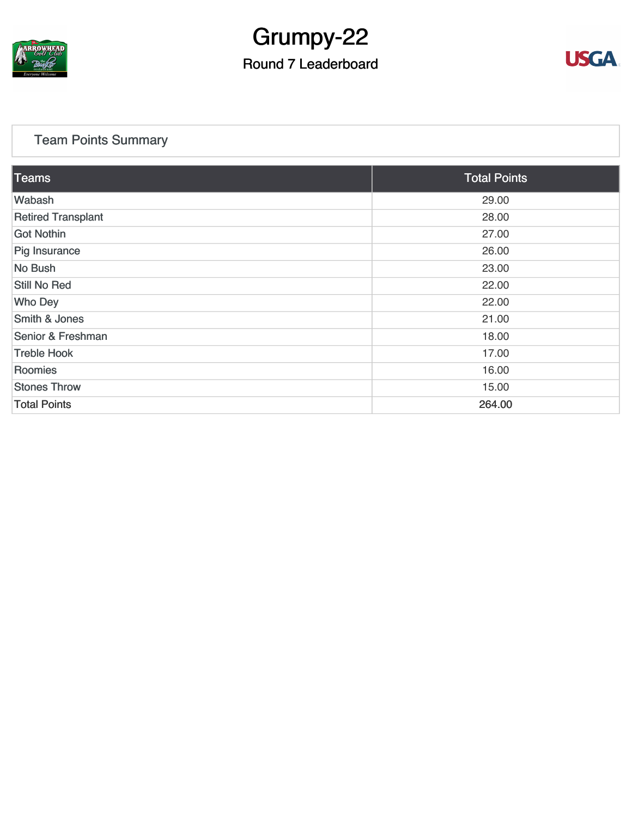

# Grumpy-22

### Round 7 Leaderboard



#### [Team Points Summary](https://static.golfgenius.com/v2tournaments/team_points?league_id=8123139340541895924&round_id=8123140174134650230)

| Teams                     | <b>Total Points</b> |  |  |  |
|---------------------------|---------------------|--|--|--|
| Wabash                    | 29.00               |  |  |  |
| <b>Retired Transplant</b> | 28.00               |  |  |  |
| <b>Got Nothin</b>         | 27.00               |  |  |  |
| Pig Insurance             | 26.00               |  |  |  |
| No Bush                   | 23.00               |  |  |  |
| <b>Still No Red</b>       | 22.00               |  |  |  |
| <b>Who Dey</b>            | 22.00               |  |  |  |
| <b>Smith &amp; Jones</b>  | 21.00               |  |  |  |
| Senior & Freshman         | 18.00               |  |  |  |
| <b>Treble Hook</b>        | 17.00               |  |  |  |
| Roomies                   | 16.00               |  |  |  |
| <b>Stones Throw</b>       | 15.00               |  |  |  |
| <b>Total Points</b>       | 264.00              |  |  |  |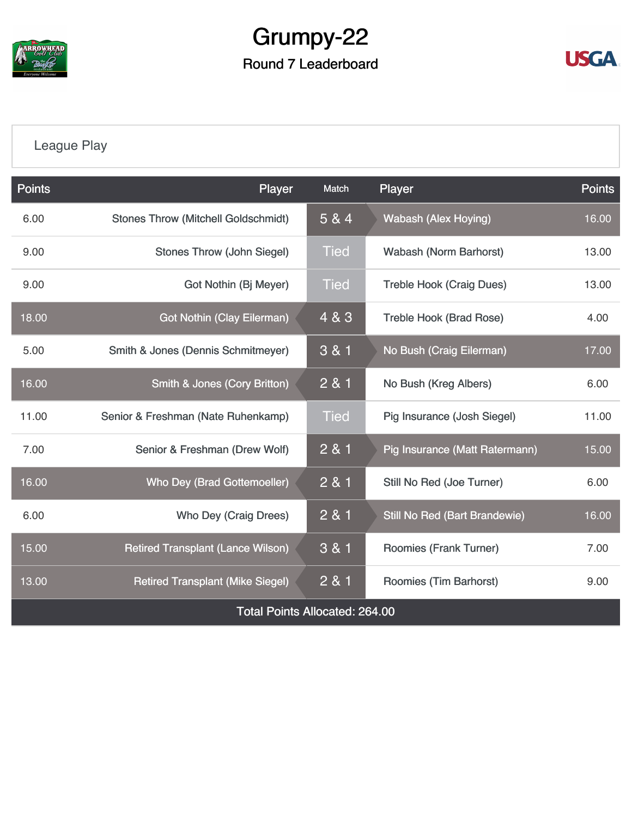

# Grumpy-22 Round 7 Leaderboard



## [League Play](https://static.golfgenius.com/v2tournaments/8123149306946397351?called_from=&round_index=7)

| Points                                | Player                                     | Match                                | Player                                | <b>Points</b> |  |  |
|---------------------------------------|--------------------------------------------|--------------------------------------|---------------------------------------|---------------|--|--|
| 6.00                                  | <b>Stones Throw (Mitchell Goldschmidt)</b> | 5 & 4<br><b>Wabash (Alex Hoying)</b> |                                       | 16.00         |  |  |
| 9.00                                  | <b>Stones Throw (John Siegel)</b>          |                                      | <b>Wabash (Norm Barhorst)</b>         | 13.00         |  |  |
| 9.00                                  | Got Nothin (Bj Meyer)                      |                                      | <b>Treble Hook (Craig Dues)</b>       | 13.00         |  |  |
| 18.00                                 | 4 & 3<br><b>Got Nothin (Clay Eilerman)</b> |                                      | <b>Treble Hook (Brad Rose)</b>        | 4.00          |  |  |
| 5.00                                  | Smith & Jones (Dennis Schmitmeyer)         | 3 & 1                                | No Bush (Craig Eilerman)              | 17.00         |  |  |
| 16.00                                 | <b>Smith &amp; Jones (Cory Britton)</b>    | 281                                  | No Bush (Kreg Albers)                 | 6.00          |  |  |
| 11.00                                 | Senior & Freshman (Nate Ruhenkamp)         | <b>Tied</b>                          | Pig Insurance (Josh Siegel)           | 11.00         |  |  |
| 7.00                                  | Senior & Freshman (Drew Wolf)              | 2 & 1                                | <b>Pig Insurance (Matt Ratermann)</b> | 15.00         |  |  |
| 16.00                                 | Who Dey (Brad Gottemoeller)                | 2 & 1                                | Still No Red (Joe Turner)             | 6.00          |  |  |
| 6.00                                  | Who Dey (Craig Drees)                      | 2 & 1                                | Still No Red (Bart Brandewie)         | 16.00         |  |  |
| 15.00                                 | <b>Retired Transplant (Lance Wilson)</b>   | 3 & 1                                | Roomies (Frank Turner)                | 7.00          |  |  |
| 13.00                                 | <b>Retired Transplant (Mike Siegel)</b>    | 2 & 1                                | Roomies (Tim Barhorst)                | 9.00          |  |  |
| <b>Total Points Allocated: 264.00</b> |                                            |                                      |                                       |               |  |  |